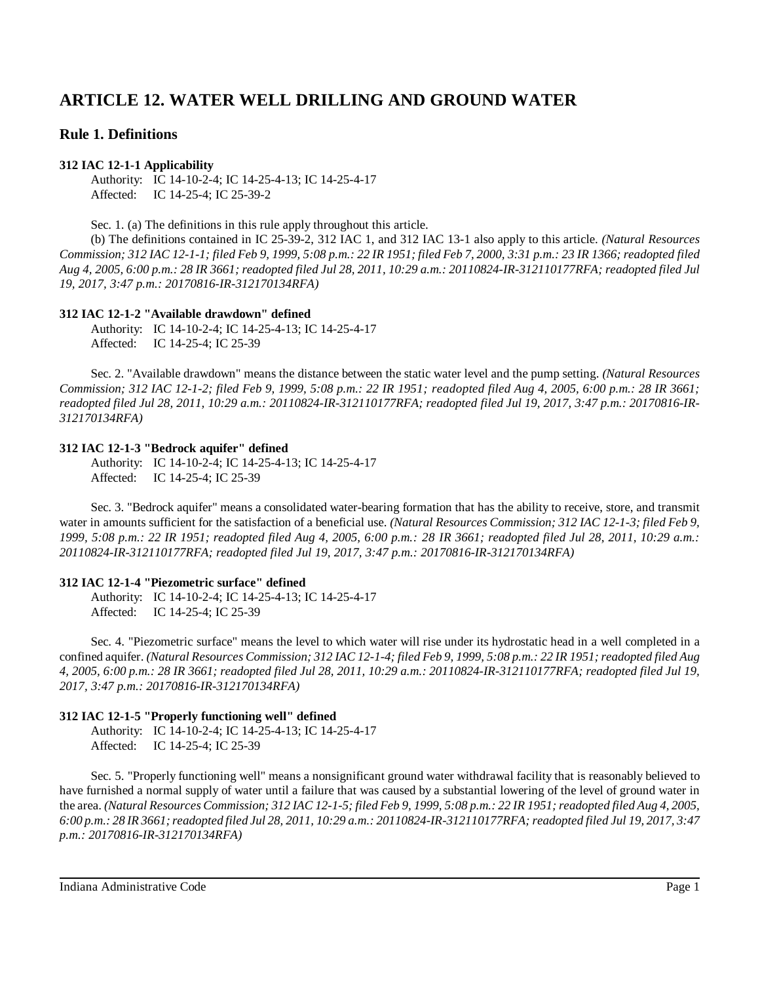# **ARTICLE 12. WATER WELL DRILLING AND GROUND WATER**

# **Rule 1. Definitions**

# **312 IAC 12-1-1 Applicability**

Authority: IC 14-10-2-4; IC 14-25-4-13; IC 14-25-4-17 Affected: IC 14-25-4; IC 25-39-2

Sec. 1. (a) The definitions in this rule apply throughout this article.

(b) The definitions contained in IC 25-39-2, 312 IAC 1, and 312 IAC 13-1 also apply to this article. *(Natural Resources* Commission; 312 IAC 12-1-1; filed Feb 9, 1999, 5:08 p.m.: 22 IR 1951; filed Feb 7, 2000, 3:31 p.m.: 23 IR 1366; readopted filed Aug 4, 2005, 6:00 p.m.: 28 IR 3661; readopted filed Jul 28, 2011, 10:29 a.m.: 20110824-IR-312110177RFA; readopted filed Jul *19, 2017, 3:47 p.m.: 20170816-IR-312170134RFA)*

# **312 IAC 12-1-2 "Available drawdown" defined**

Authority: IC 14-10-2-4; IC 14-25-4-13; IC 14-25-4-17 Affected: IC 14-25-4; IC 25-39

Sec. 2. "Available drawdown" means the distance between the static water level and the pump setting. *(Natural Resources Commission; 312 IAC 12-1-2; filed Feb 9, 1999, 5:08 p.m.: 22 IR 1951; readopted filed Aug 4, 2005, 6:00 p.m.: 28 IR 3661; readopted filed Jul 28, 2011, 10:29 a.m.: 20110824-IR-312110177RFA; readopted filed Jul 19, 2017, 3:47 p.m.: 20170816-IR-312170134RFA)*

# **312 IAC 12-1-3 "Bedrock aquifer" defined**

Authority: IC 14-10-2-4; IC 14-25-4-13; IC 14-25-4-17 Affected: IC 14-25-4; IC 25-39

Sec. 3. "Bedrock aquifer" means a consolidated water-bearing formation that has the ability to receive, store, and transmit water in amounts sufficient for the satisfaction of a beneficial use. *(Natural Resources Commission; 312 IAC 12-1-3; filed Feb 9, 1999, 5:08 p.m.: 22 IR 1951; readopted filed Aug 4, 2005, 6:00 p.m.: 28 IR 3661; readopted filed Jul 28, 2011, 10:29 a.m.: 20110824-IR-312110177RFA; readopted filed Jul 19, 2017, 3:47 p.m.: 20170816-IR-312170134RFA)*

# **312 IAC 12-1-4 "Piezometric surface" defined**

Authority: IC 14-10-2-4; IC 14-25-4-13; IC 14-25-4-17 Affected: IC 14-25-4; IC 25-39

Sec. 4. "Piezometric surface" means the level to which water will rise under its hydrostatic head in a well completed in a confined aquifer. (Natural Resources Commission; 312 IAC 12-1-4; filed Feb 9, 1999, 5:08 p.m.: 22 IR 1951; readopted filed Aug 4, 2005, 6:00 p.m.: 28 IR 3661; readopted filed Jul 28, 2011, 10:29 a.m.: 20110824-IR-312110177RFA; readopted filed Jul 19, *2017, 3:47 p.m.: 20170816-IR-312170134RFA)*

# **312 IAC 12-1-5 "Properly functioning well" defined**

Authority: IC 14-10-2-4; IC 14-25-4-13; IC 14-25-4-17 Affected: IC 14-25-4; IC 25-39

Sec. 5. "Properly functioning well" means a nonsignificant ground water withdrawal facility that is reasonably believed to have furnished a normal supply of water until a failure that was caused by a substantial lowering of the level of ground water in the area. (Natural Resources Commission; 312 IAC 12-1-5; filed Feb 9, 1999, 5:08 p.m.: 22 IR 1951; readopted filed Aug 4, 2005, 6:00 p.m.: 28 IR 3661; readopted filed Jul 28, 2011, 10:29 a.m.: 20110824-IR-312110177RFA; readopted filed Jul 19, 2017, 3:47 *p.m.: 20170816-IR-312170134RFA)*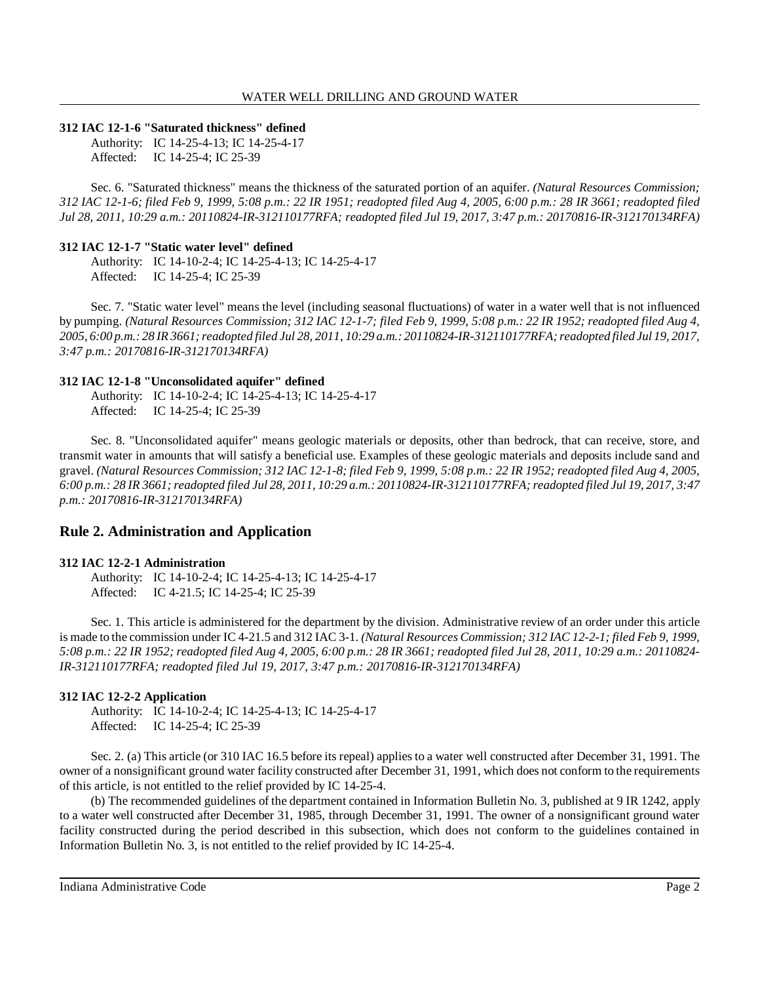### **312 IAC 12-1-6 "Saturated thickness" defined**

Authority: IC 14-25-4-13; IC 14-25-4-17 Affected: IC 14-25-4; IC 25-39

Sec. 6. "Saturated thickness" means the thickness of the saturated portion of an aquifer. *(Natural Resources Commission; 312 IAC 12-1-6; filed Feb 9, 1999, 5:08 p.m.: 22 IR 1951; readopted filed Aug 4, 2005, 6:00 p.m.: 28 IR 3661; readopted filed Jul 28, 2011, 10:29 a.m.: 20110824-IR-312110177RFA; readopted filed Jul 19, 2017, 3:47 p.m.: 20170816-IR-312170134RFA)*

#### **312 IAC 12-1-7 "Static water level" defined**

Authority: IC 14-10-2-4; IC 14-25-4-13; IC 14-25-4-17 Affected: IC 14-25-4; IC 25-39

Sec. 7. "Static water level" means the level (including seasonal fluctuations) of water in a water well that is not influenced by pumping. (Natural Resources Commission; 312 IAC 12-1-7; filed Feb 9, 1999, 5:08 p.m.: 22 IR 1952; readopted filed Aug 4, 2005, 6:00 p.m.: 28 IR 3661; readopted filed Jul 28, 2011, 10:29 a.m.: 20110824-IR-312110177RFA; readopted filed Jul 19, 2017, *3:47 p.m.: 20170816-IR-312170134RFA)*

#### **312 IAC 12-1-8 "Unconsolidated aquifer" defined**

Authority: IC 14-10-2-4; IC 14-25-4-13; IC 14-25-4-17 Affected: IC 14-25-4; IC 25-39

Sec. 8. "Unconsolidated aquifer" means geologic materials or deposits, other than bedrock, that can receive, store, and transmit water in amounts that will satisfy a beneficial use. Examples of these geologic materials and deposits include sand and gravel. (Natural Resources Commission; 312 IAC 12-1-8; filed Feb 9, 1999, 5:08 p.m.: 22 IR 1952; readopted filed Aug 4, 2005, 6:00 p.m.: 28 IR 3661; readopted filed Jul 28, 2011, 10:29 a.m.: 20110824-IR-312110177RFA; readopted filed Jul 19, 2017, 3:47 *p.m.: 20170816-IR-312170134RFA)*

# **Rule 2. Administration and Application**

#### **312 IAC 12-2-1 Administration**

Authority: IC 14-10-2-4; IC 14-25-4-13; IC 14-25-4-17 Affected: IC 4-21.5; IC 14-25-4; IC 25-39

Sec. 1. This article is administered for the department by the division. Administrative review of an order under this article is made to the commission under IC 4-21.5 and 312 IAC 3-1. *(Natural Resources Commission; 312 IAC 12-2-1; filed Feb 9, 1999,* 5:08 p.m.: 22 IR 1952; readopted filed Aug 4, 2005, 6:00 p.m.: 28 IR 3661; readopted filed Jul 28, 2011, 10:29 a.m.: 20110824-*IR-312110177RFA; readopted filed Jul 19, 2017, 3:47 p.m.: 20170816-IR-312170134RFA)*

# **312 IAC 12-2-2 Application**

Authority: IC 14-10-2-4; IC 14-25-4-13; IC 14-25-4-17 Affected: IC 14-25-4; IC 25-39

Sec. 2. (a) This article (or 310 IAC 16.5 before its repeal) applies to a water well constructed after December 31, 1991. The owner of a nonsignificant ground water facility constructed after December 31, 1991, which does not conform to the requirements of this article, is not entitled to the relief provided by IC 14-25-4.

(b) The recommended guidelines of the department contained in Information Bulletin No. 3, published at 9 IR 1242, apply to a water well constructed after December 31, 1985, through December 31, 1991. The owner of a nonsignificant ground water facility constructed during the period described in this subsection, which does not conform to the guidelines contained in Information Bulletin No. 3, is not entitled to the relief provided by IC 14-25-4.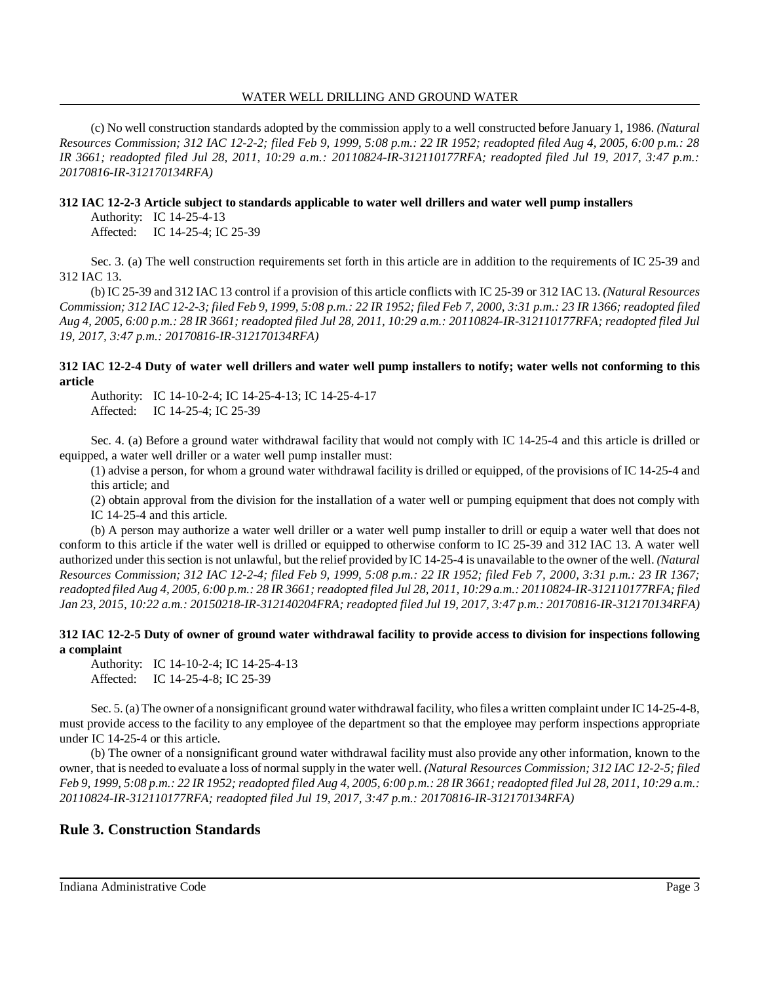#### WATER WELL DRILLING AND GROUND WATER

(c) No well construction standards adopted by the commission apply to a well constructed before January 1, 1986. *(Natural Resources Commission; 312 IAC 12-2-2; filed Feb 9, 1999, 5:08 p.m.: 22 IR 1952; readopted filed Aug 4, 2005, 6:00 p.m.: 28 IR 3661; readopted filed Jul 28, 2011, 10:29 a.m.: 20110824-IR-312110177RFA; readopted filed Jul 19, 2017, 3:47 p.m.: 20170816-IR-312170134RFA)*

# **312 IAC 12-2-3 Article subject to standards applicable to water well drillers and water well pump installers**

Authority: IC 14-25-4-13

Affected: IC 14-25-4; IC 25-39

Sec. 3. (a) The well construction requirements set forth in this article are in addition to the requirements of IC 25-39 and 312 IAC 13.

(b) IC 25-39 and 312 IAC 13 control if a provision of this article conflicts with IC 25-39 or 312 IAC 13. *(Natural Resources* Commission; 312 IAC 12-2-3; filed Feb 9, 1999, 5:08 p.m.: 22 IR 1952; filed Feb 7, 2000, 3:31 p.m.: 23 IR 1366; readopted filed Aug 4, 2005, 6:00 p.m.: 28 IR 3661; readopted filed Jul 28, 2011, 10:29 a.m.: 20110824-IR-312110177RFA; readopted filed Jul *19, 2017, 3:47 p.m.: 20170816-IR-312170134RFA)*

# **312 IAC 12-2-4 Duty of water well drillers and water well pump installers to notify; water wells not conforming to this article**

Authority: IC 14-10-2-4; IC 14-25-4-13; IC 14-25-4-17 Affected: IC 14-25-4; IC 25-39

Sec. 4. (a) Before a ground water withdrawal facility that would not comply with IC 14-25-4 and this article is drilled or equipped, a water well driller or a water well pump installer must:

(1) advise a person, for whom a ground water withdrawal facility is drilled or equipped, of the provisions of IC 14-25-4 and this article; and

(2) obtain approval from the division for the installation of a water well or pumping equipment that does not comply with IC 14-25-4 and this article.

(b) A person may authorize a water well driller or a water well pump installer to drill or equip a water well that does not conform to this article if the water well is drilled or equipped to otherwise conform to IC 25-39 and 312 IAC 13. A water well authorized under thissection is not unlawful, but the relief provided by IC 14-25-4 is unavailable to the owner of the well. *(Natural* Resources Commission; 312 IAC 12-2-4; filed Feb 9, 1999, 5:08 p.m.: 22 IR 1952; filed Feb 7, 2000, 3:31 p.m.: 23 IR 1367; readopted filed Aug 4, 2005, 6:00 p.m.: 28 IR 3661; readopted filed Jul 28, 2011, 10:29 a.m.: 20110824-IR-312110177RFA; filed *Jan 23, 2015, 10:22 a.m.: 20150218-IR-312140204FRA; readopted filed Jul 19, 2017, 3:47 p.m.: 20170816-IR-312170134RFA)*

# **312 IAC 12-2-5 Duty of owner of ground water withdrawal facility to provide access to division for inspections following a complaint**

Authority: IC 14-10-2-4; IC 14-25-4-13 Affected: IC 14-25-4-8; IC 25-39

Sec. 5. (a) The owner of a nonsignificant ground water withdrawal facility, who files a written complaint under IC 14-25-4-8, must provide access to the facility to any employee of the department so that the employee may perform inspections appropriate under IC 14-25-4 or this article.

(b) The owner of a nonsignificant ground water withdrawal facility must also provide any other information, known to the owner, that is needed to evaluate a loss of normal supply in the water well. *(Natural Resources Commission; 312 IAC 12-2-5; filed* Feb 9, 1999, 5:08 p.m.: 22 IR 1952; readopted filed Aug 4, 2005, 6:00 p.m.: 28 IR 3661; readopted filed Jul 28, 2011, 10:29 a.m.: *20110824-IR-312110177RFA; readopted filed Jul 19, 2017, 3:47 p.m.: 20170816-IR-312170134RFA)*

# **Rule 3. Construction Standards**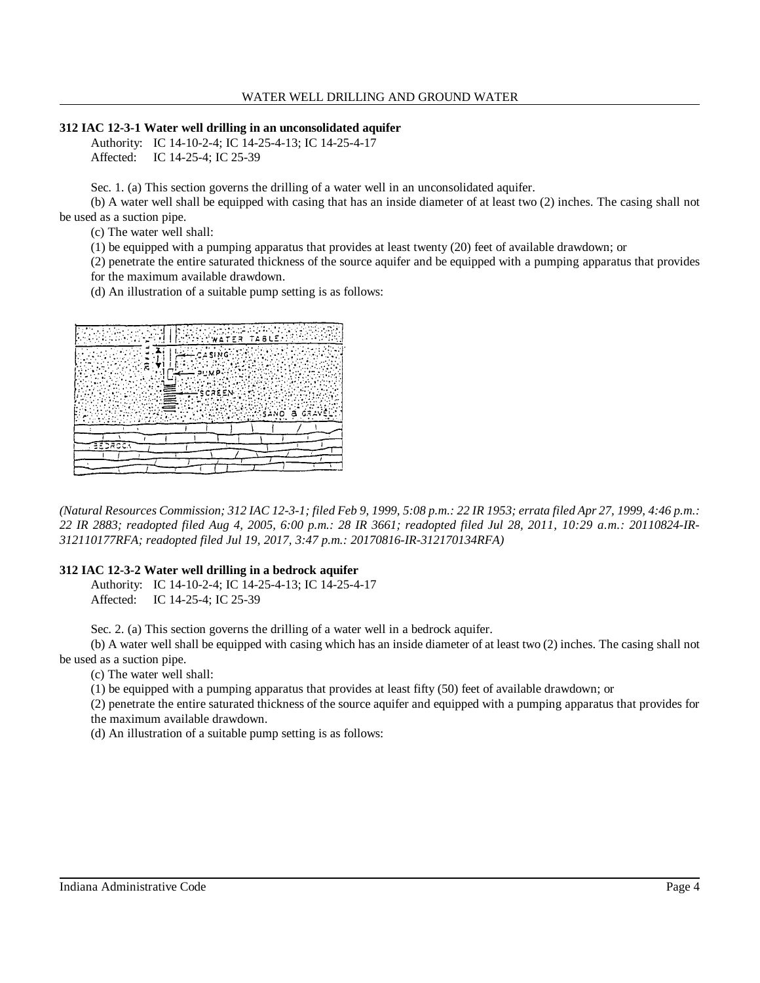#### WATER WELL DRILLING AND GROUND WATER

#### **312 IAC 12-3-1 Water well drilling in an unconsolidated aquifer**

Authority: IC 14-10-2-4; IC 14-25-4-13; IC 14-25-4-17 Affected: IC 14-25-4; IC 25-39

Sec. 1. (a) This section governs the drilling of a water well in an unconsolidated aquifer.

(b) A water well shall be equipped with casing that has an inside diameter of at least two (2) inches. The casing shall not be used as a suction pipe.

(c) The water well shall:

(1) be equipped with a pumping apparatus that provides at least twenty (20) feet of available drawdown; or

(2) penetrate the entire saturated thickness of the source aquifer and be equipped with a pumping apparatus that provides for the maximum available drawdown.

(d) An illustration of a suitable pump setting is as follows:



(Natural Resources Commission; 312 IAC 12-3-1; filed Feb 9, 1999, 5:08 p.m.: 22 IR 1953; errata filed Apr 27, 1999, 4:46 p.m.: 22 IR 2883; readopted filed Aug 4, 2005, 6:00 p.m.: 28 IR 3661; readopted filed Jul 28, 2011, 10:29 a.m.: 20110824-IR-*312110177RFA; readopted filed Jul 19, 2017, 3:47 p.m.: 20170816-IR-312170134RFA)*

# **312 IAC 12-3-2 Water well drilling in a bedrock aquifer**

Authority: IC 14-10-2-4; IC 14-25-4-13; IC 14-25-4-17 Affected: IC 14-25-4; IC 25-39

Sec. 2. (a) This section governs the drilling of a water well in a bedrock aquifer.

(b) A water well shall be equipped with casing which has an inside diameter of at least two (2) inches. The casing shall not be used as a suction pipe.

(c) The water well shall:

(1) be equipped with a pumping apparatus that provides at least fifty (50) feet of available drawdown; or

(2) penetrate the entire saturated thickness of the source aquifer and equipped with a pumping apparatus that provides for the maximum available drawdown.

(d) An illustration of a suitable pump setting is as follows: